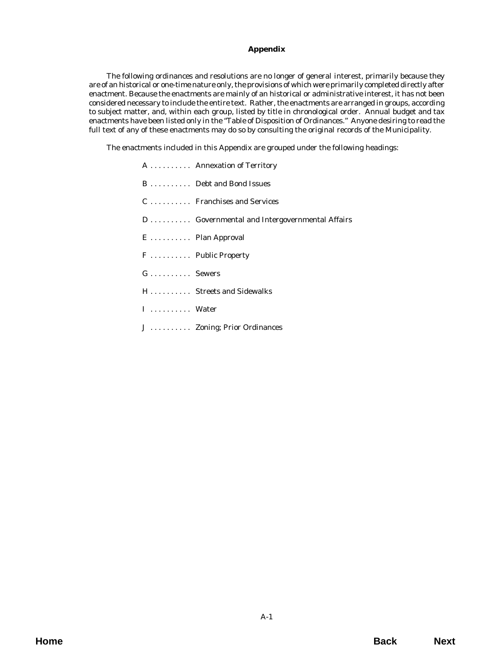### **Appendix**

The following ordinances and resolutions are no longer of general interest, primarily because they are of an historical or one-time nature only, the provisions of which were primarily completed directly after enactment. Because the enactments are mainly of an historical or administrative interest, it has not been considered necessary to include the entire text. Rather, the enactments are arranged in groups, according to subject matter, and, within each group, listed by title in chronological order. Annual budget and tax enactments have been listed only in the "Table of Disposition of Ordinances." Anyone desiring to read the full text of any of these enactments may do so by consulting the original records of the Municipality.

The enactments included in this Appendix are grouped under the following headings:

|          | A  Annexation of Territory                   |
|----------|----------------------------------------------|
|          | B  Debt and Bond Issues                      |
|          | C  Franchises and Services                   |
|          | D Governmental and Intergovernmental Affairs |
|          | E  Plan Approval                             |
|          | F  Public Property                           |
| G Sewers |                                              |
|          | H Streets and Sidewalks                      |
| I  Water |                                              |
|          | J  Zoning; Prior Ordinances                  |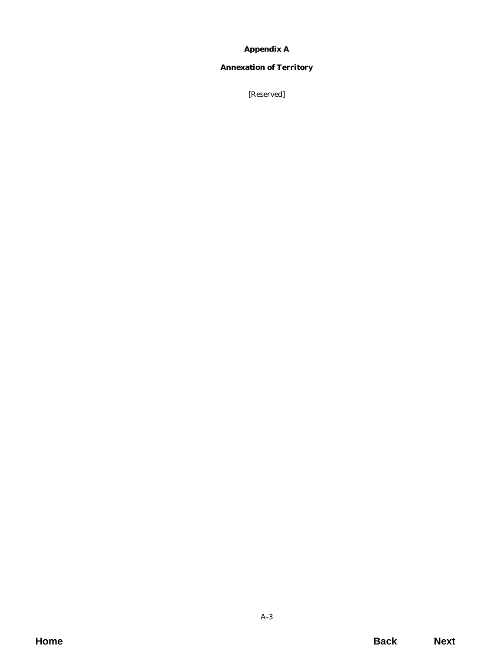# **Appendix A**

## <span id="page-2-0"></span>**Annexation of Territory**

[Reserved]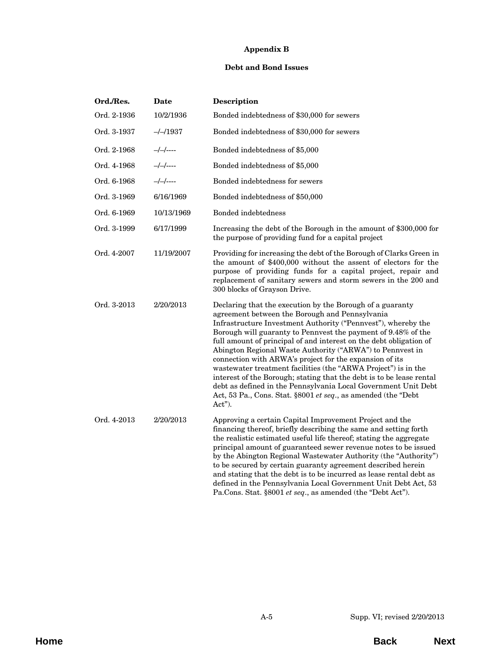# **Appendix B**

### **Debt and Bond Issues**

<span id="page-4-0"></span>

| Ord./Res.   | Date       | Description                                                                                                                                                                                                                                                                                                                                                                                                                                                                                                                                                                                                                                                                                                                        |
|-------------|------------|------------------------------------------------------------------------------------------------------------------------------------------------------------------------------------------------------------------------------------------------------------------------------------------------------------------------------------------------------------------------------------------------------------------------------------------------------------------------------------------------------------------------------------------------------------------------------------------------------------------------------------------------------------------------------------------------------------------------------------|
| Ord. 2-1936 | 10/2/1936  | Bonded indebtedness of \$30,000 for sewers                                                                                                                                                                                                                                                                                                                                                                                                                                                                                                                                                                                                                                                                                         |
| Ord. 3-1937 | $-/-/1937$ | Bonded indebtedness of \$30,000 for sewers                                                                                                                                                                                                                                                                                                                                                                                                                                                                                                                                                                                                                                                                                         |
| Ord. 2-1968 | $-/-/-$    | Bonded indebtedness of \$5,000                                                                                                                                                                                                                                                                                                                                                                                                                                                                                                                                                                                                                                                                                                     |
| Ord. 4-1968 | $-/-/-$    | Bonded indebtedness of \$5,000                                                                                                                                                                                                                                                                                                                                                                                                                                                                                                                                                                                                                                                                                                     |
| Ord. 6-1968 | $-/-/-$    | Bonded indebtedness for sewers                                                                                                                                                                                                                                                                                                                                                                                                                                                                                                                                                                                                                                                                                                     |
| Ord. 3-1969 | 6/16/1969  | Bonded indebtedness of \$50,000                                                                                                                                                                                                                                                                                                                                                                                                                                                                                                                                                                                                                                                                                                    |
| Ord. 6-1969 | 10/13/1969 | Bonded indebtedness                                                                                                                                                                                                                                                                                                                                                                                                                                                                                                                                                                                                                                                                                                                |
| Ord. 3-1999 | 6/17/1999  | Increasing the debt of the Borough in the amount of \$300,000 for<br>the purpose of providing fund for a capital project                                                                                                                                                                                                                                                                                                                                                                                                                                                                                                                                                                                                           |
| Ord. 4-2007 | 11/19/2007 | Providing for increasing the debt of the Borough of Clarks Green in<br>the amount of \$400,000 without the assent of electors for the<br>purpose of providing funds for a capital project, repair and<br>replacement of sanitary sewers and storm sewers in the 200 and<br>300 blocks of Grayson Drive.                                                                                                                                                                                                                                                                                                                                                                                                                            |
| Ord. 3-2013 | 2/20/2013  | Declaring that the execution by the Borough of a guaranty<br>agreement between the Borough and Pennsylvania<br>Infrastructure Investment Authority ("Pennvest"), whereby the<br>Borough will guaranty to Pennvest the payment of 9.48% of the<br>full amount of principal of and interest on the debt obligation of<br>Abington Regional Waste Authority ("ARWA") to Pennvest in<br>connection with ARWA's project for the expansion of its<br>wastewater treatment facilities (the "ARWA Project") is in the<br>interest of the Borough; stating that the debt is to be lease rental<br>debt as defined in the Pennsylvania Local Government Unit Debt<br>Act, 53 Pa., Cons. Stat. §8001 et seq., as amended (the "Debt<br>Act"). |
| Ord. 4-2013 | 2/20/2013  | Approving a certain Capital Improvement Project and the<br>financing thereof, briefly describing the same and setting forth<br>the realistic estimated useful life thereof; stating the aggregate<br>principal amount of guaranteed sewer revenue notes to be issued<br>by the Abington Regional Wastewater Authority (the "Authority")<br>to be secured by certain guaranty agreement described herein<br>and stating that the debt is to be incurred as lease rental debt as<br>defined in the Pennsylvania Local Government Unit Debt Act, 53<br>Pa.Cons. Stat. §8001 et seq., as amended (the "Debt Act").                                                                                                                     |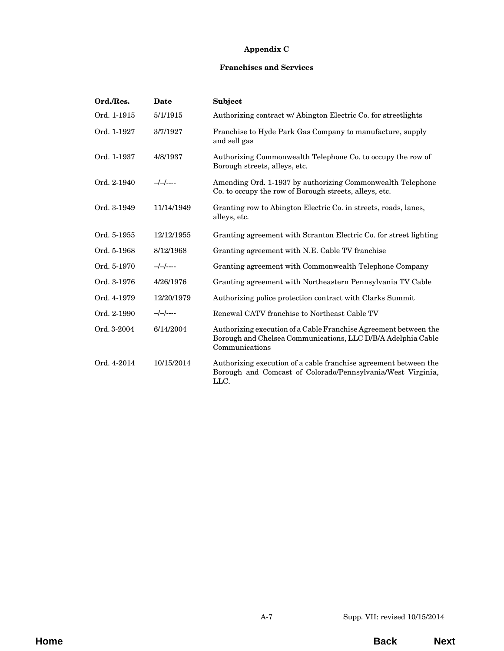## **Appendix C**

### **Franchises and Services**

<span id="page-6-0"></span>

| Ord./Res.   | Date         | Subject                                                                                                                                            |
|-------------|--------------|----------------------------------------------------------------------------------------------------------------------------------------------------|
| Ord. 1-1915 | 5/1/1915     | Authorizing contract w/ Abington Electric Co. for streetlights                                                                                     |
| Ord. 1-1927 | 3/7/1927     | Franchise to Hyde Park Gas Company to manufacture, supply<br>and sell gas                                                                          |
| Ord. 1-1937 | 4/8/1937     | Authorizing Commonwealth Telephone Co. to occupy the row of<br>Borough streets, alleys, etc.                                                       |
| Ord. 2-1940 | $-/-/-$      | Amending Ord. 1-1937 by authorizing Commonwealth Telephone<br>Co. to occupy the row of Borough streets, alleys, etc.                               |
| Ord. 3-1949 | 11/14/1949   | Granting row to Abington Electric Co. in streets, roads, lanes,<br>alleys, etc.                                                                    |
| Ord. 5-1955 | 12/12/1955   | Granting agreement with Scranton Electric Co. for street lighting                                                                                  |
| Ord. 5-1968 | 8/12/1968    | Granting agreement with N.E. Cable TV franchise                                                                                                    |
| Ord. 5-1970 | $-/-/-$      | Granting agreement with Commonwealth Telephone Company                                                                                             |
| Ord. 3-1976 | 4/26/1976    | Granting agreement with Northeastern Pennsylvania TV Cable                                                                                         |
| Ord. 4-1979 | 12/20/1979   | Authorizing police protection contract with Clarks Summit                                                                                          |
| Ord. 2-1990 | $-/-/-$ ---- | Renewal CATV franchise to Northeast Cable TV                                                                                                       |
| Ord. 3-2004 | 6/14/2004    | Authorizing execution of a Cable Franchise Agreement between the<br>Borough and Chelsea Communications, LLC D/B/A Adelphia Cable<br>Communications |
| Ord. 4-2014 | 10/15/2014   | Authorizing execution of a cable franchise agreement between the<br>Borough and Comcast of Colorado/Pennsylvania/West Virginia,<br>LLC.            |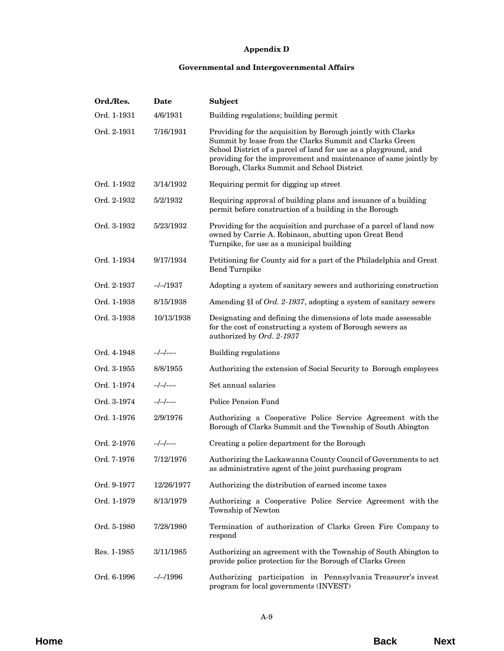## **Appendix D**

### **Governmental and Intergovernmental Affairs**

<span id="page-8-0"></span>

| Ord./Res.   | Date              | Subject                                                                                                                                                                                                                                                                                                       |
|-------------|-------------------|---------------------------------------------------------------------------------------------------------------------------------------------------------------------------------------------------------------------------------------------------------------------------------------------------------------|
| Ord. 1-1931 | 4/6/1931          | Building regulations; building permit                                                                                                                                                                                                                                                                         |
| Ord. 2-1931 | 7/16/1931         | Providing for the acquisition by Borough jointly with Clarks<br>Summit by lease from the Clarks Summit and Clarks Green<br>School District of a parcel of land for use as a playground, and<br>providing for the improvement and maintenance of same jointly by<br>Borough, Clarks Summit and School District |
| Ord. 1-1932 | 3/14/1932         | Requiring permit for digging up street                                                                                                                                                                                                                                                                        |
| Ord. 2-1932 | 5/2/1932          | Requiring approval of building plans and issuance of a building<br>permit before construction of a building in the Borough                                                                                                                                                                                    |
| Ord. 3-1932 | 5/23/1932         | Providing for the acquisition and purchase of a parcel of land now<br>owned by Carrie A. Robinson, abutting upon Great Bend<br>Turnpike, for use as a municipal building                                                                                                                                      |
| Ord. 1-1934 | 9/17/1934         | Petitioning for County aid for a part of the Philadelphia and Great<br>Bend Turnpike                                                                                                                                                                                                                          |
| Ord. 2-1937 | $-/-/1937$        | Adopting a system of sanitary sewers and authorizing construction                                                                                                                                                                                                                                             |
| Ord. 1-1938 | 8/15/1938         | Amending §I of Ord. 2-1937, adopting a system of sanitary sewers                                                                                                                                                                                                                                              |
| Ord. 3-1938 | 10/13/1938        | Designating and defining the dimensions of lots made assessable<br>for the cost of constructing a system of Borough sewers as<br>authorized by Ord. 2-1937                                                                                                                                                    |
| Ord. 4-1948 | $-/-/-$           | Building regulations                                                                                                                                                                                                                                                                                          |
| Ord. 3-1955 | 8/8/1955          | Authorizing the extension of Social Security to Borough employees                                                                                                                                                                                                                                             |
| Ord. 1-1974 | $-/-/-$           | Set annual salaries                                                                                                                                                                                                                                                                                           |
| Ord. 3-1974 | $-/-/-$           | <b>Police Pension Fund</b>                                                                                                                                                                                                                                                                                    |
| Ord. 1-1976 | 2/9/1976          | Authorizing a Cooperative Police Service Agreement with the<br>Borough of Clarks Summit and the Township of South Abington                                                                                                                                                                                    |
| Ord. 2-1976 | $-/-/----$        | Creating a police department for the Borough                                                                                                                                                                                                                                                                  |
| Ord. 7-1976 | 7/12/1976         | Authorizing the Lackawanna County Council of Governments to act<br>as administrative agent of the joint purchasing program                                                                                                                                                                                    |
| Ord. 9-1977 | 12/26/1977        | Authorizing the distribution of earned income taxes                                                                                                                                                                                                                                                           |
| Ord. 1-1979 | 8/13/1979         | Authorizing a Cooperative Police Service Agreement with the<br>Township of Newton                                                                                                                                                                                                                             |
| Ord. 5-1980 | 7/28/1980         | Termination of authorization of Clarks Green Fire Company to<br>respond                                                                                                                                                                                                                                       |
| Res. 1-1985 | 3/11/1985         | Authorizing an agreement with the Township of South Abington to<br>provide police protection for the Borough of Clarks Green                                                                                                                                                                                  |
| Ord. 6-1996 | $-\frac{1996}{5}$ | Authorizing participation in Pennsylvania Treasurer's invest<br>program for local governments (INVEST)                                                                                                                                                                                                        |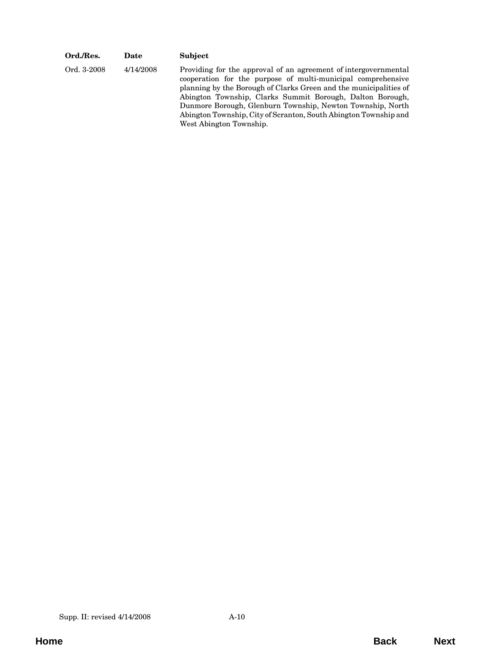| Ord./Res.   | Date      | <b>Subject</b>                                                                                                                                                                                                                                                                                                                                                                                                                 |
|-------------|-----------|--------------------------------------------------------------------------------------------------------------------------------------------------------------------------------------------------------------------------------------------------------------------------------------------------------------------------------------------------------------------------------------------------------------------------------|
| Ord. 3-2008 | 4/14/2008 | Providing for the approval of an agreement of intergovernmental<br>cooperation for the purpose of multi-municipal comprehensive<br>planning by the Borough of Clarks Green and the municipalities of<br>Abington Township, Clarks Summit Borough, Dalton Borough,<br>Dunmore Borough, Glenburn Township, Newton Township, North<br>Abington Township, City of Scranton, South Abington Township and<br>West Abington Township. |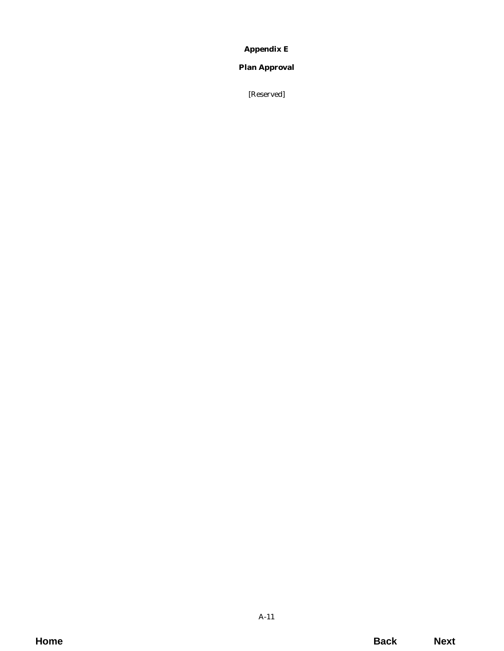# **Appendix E**

# <span id="page-10-0"></span>**Plan Approval**

[Reserved]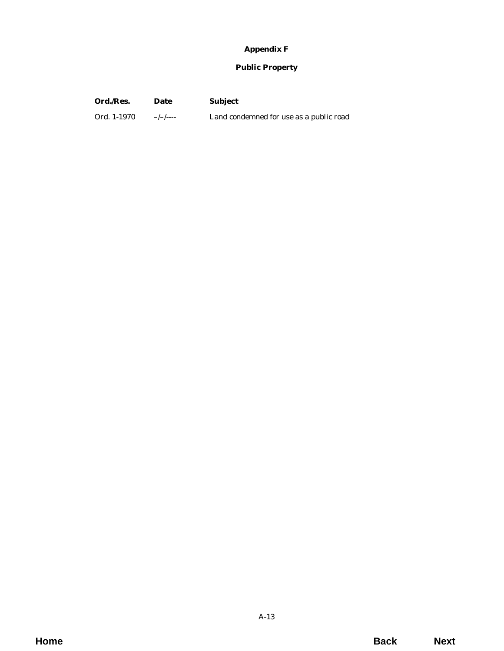# **Appendix F**

## **Public Property**

<span id="page-12-0"></span>

| Ord./Res. | Date | <b>Subject</b> |
|-----------|------|----------------|
|           |      |                |

Ord. 1-1970 –/-/---- Land condemned for use as a public road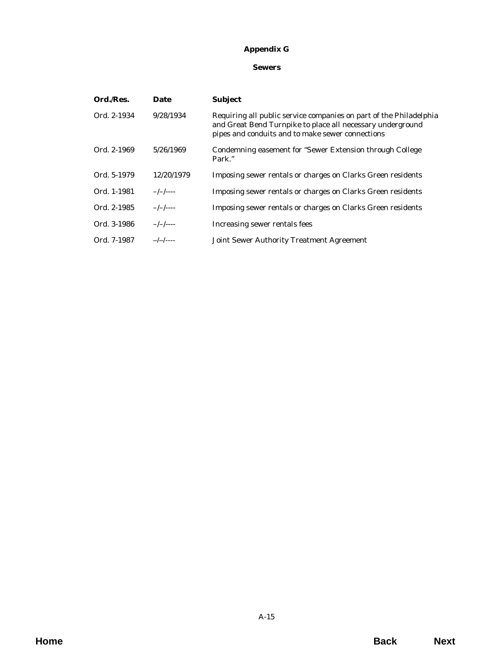# **Appendix G**

### **Sewers**

<span id="page-14-0"></span>

| Ord./Res.   | Date       | <b>Subject</b>                                                                                                                                                                       |
|-------------|------------|--------------------------------------------------------------------------------------------------------------------------------------------------------------------------------------|
| Ord. 2-1934 | 9/28/1934  | Requiring all public service companies on part of the Philadelphia<br>and Great Bend Turnpike to place all necessary underground<br>pipes and conduits and to make sewer connections |
| Ord. 2-1969 | 5/26/1969  | Condemning easement for "Sewer Extension through College<br>Park."                                                                                                                   |
| Ord. 5-1979 | 12/20/1979 | Imposing sewer rentals or charges on Clarks Green residents                                                                                                                          |
| Ord. 1-1981 | $-/-/--$   | Imposing sewer rentals or charges on Clarks Green residents                                                                                                                          |
| Ord. 2-1985 | $-/-/----$ | Imposing sewer rentals or charges on Clarks Green residents                                                                                                                          |
| Ord. 3-1986 | $-/-/--$   | Increasing sewer rentals fees                                                                                                                                                        |
| Ord. 7-1987 | $-/-/----$ | <b>Joint Sewer Authority Treatment Agreement</b>                                                                                                                                     |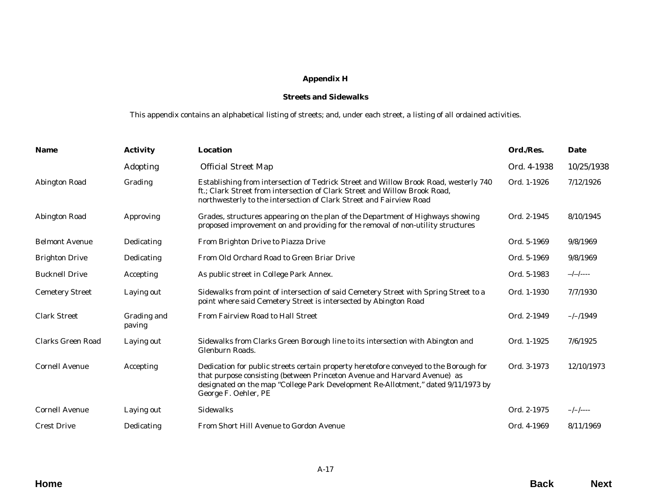# **Appendix H**

### **Streets and Sidewalks**

This appendix contains an alphabetical listing of streets; and, under each street, a listing of all ordained activities.

<span id="page-16-0"></span>

| <b>Name</b>              | <b>Activity</b>       | <b>Location</b>                                                                                                                                                                                                                                                                | Ord./Res.   | Date       |
|--------------------------|-----------------------|--------------------------------------------------------------------------------------------------------------------------------------------------------------------------------------------------------------------------------------------------------------------------------|-------------|------------|
|                          | Adopting              | <b>Official Street Map</b>                                                                                                                                                                                                                                                     | Ord. 4-1938 | 10/25/1938 |
| Abington Road            | Grading               | Establishing from intersection of Tedrick Street and Willow Brook Road, westerly 740<br>ft.; Clark Street from intersection of Clark Street and Willow Brook Road,<br>northwesterly to the intersection of Clark Street and Fairview Road                                      | Ord. 1-1926 | 7/12/1926  |
| Abington Road            | Approving             | Grades, structures appearing on the plan of the Department of Highways showing<br>proposed improvement on and providing for the removal of non-utility structures                                                                                                              | Ord. 2-1945 | 8/10/1945  |
| <b>Belmont Avenue</b>    | Dedicating            | From Brighton Drive to Piazza Drive                                                                                                                                                                                                                                            | Ord. 5-1969 | 9/8/1969   |
| <b>Brighton Drive</b>    | Dedicating            | From Old Orchard Road to Green Briar Drive                                                                                                                                                                                                                                     | Ord. 5-1969 | 9/8/1969   |
| <b>Bucknell Drive</b>    | Accepting             | As public street in College Park Annex.                                                                                                                                                                                                                                        | Ord. 5-1983 | $-/-/----$ |
| <b>Cemetery Street</b>   | Laying out            | Sidewalks from point of intersection of said Cemetery Street with Spring Street to a<br>point where said Cemetery Street is intersected by Abington Road                                                                                                                       | Ord. 1-1930 | 7/7/1930   |
| <b>Clark Street</b>      | Grading and<br>paving | From Fairview Road to Hall Street                                                                                                                                                                                                                                              | Ord. 2-1949 | $-/-/1949$ |
| <b>Clarks Green Road</b> | Laying out            | Sidewalks from Clarks Green Borough line to its intersection with Abington and<br>Glenburn Roads.                                                                                                                                                                              | Ord. 1-1925 | 7/6/1925   |
| <b>Cornell Avenue</b>    | Accepting             | Dedication for public streets certain property heretofore conveyed to the Borough for<br>that purpose consisting (between Princeton Avenue and Harvard Avenue) as<br>designated on the map "College Park Development Re-Allotment," dated 9/11/1973 by<br>George F. Oehler, PE | Ord. 3-1973 | 12/10/1973 |
| <b>Cornell Avenue</b>    | Laying out            | <b>Sidewalks</b>                                                                                                                                                                                                                                                               | Ord. 2-1975 | $-/-/----$ |
| <b>Crest Drive</b>       | Dedicating            | From Short Hill Avenue to Gordon Avenue                                                                                                                                                                                                                                        | Ord. 4-1969 | 8/11/1969  |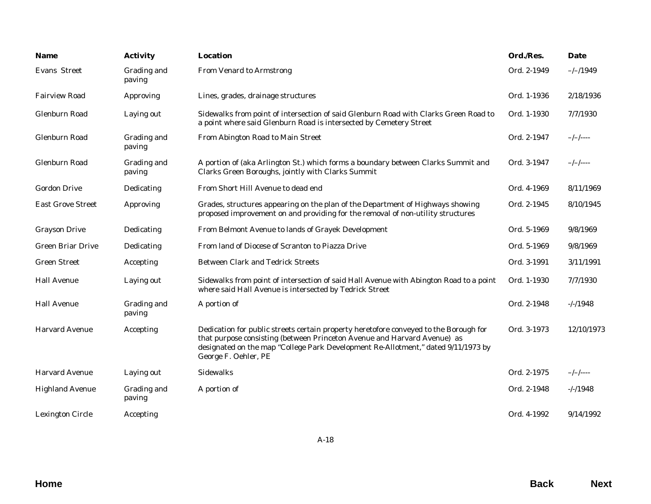| <b>Name</b>              | <b>Activity</b>       | Location                                                                                                                                                                                                                                                                       | Ord./Res.   | Date       |
|--------------------------|-----------------------|--------------------------------------------------------------------------------------------------------------------------------------------------------------------------------------------------------------------------------------------------------------------------------|-------------|------------|
| Evans Street             | Grading and<br>paving | From Venard to Armstrong                                                                                                                                                                                                                                                       | Ord. 2-1949 | $-/-/1949$ |
| <b>Fairview Road</b>     | Approving             | Lines, grades, drainage structures                                                                                                                                                                                                                                             | Ord. 1-1936 | 2/18/1936  |
| Glenburn Road            | Laying out            | Sidewalks from point of intersection of said Glenburn Road with Clarks Green Road to<br>a point where said Glenburn Road is intersected by Cemetery Street                                                                                                                     | Ord. 1-1930 | 7/7/1930   |
| Glenburn Road            | Grading and<br>paving | From Abington Road to Main Street                                                                                                                                                                                                                                              | Ord. 2-1947 | $-/-/--$   |
| Glenburn Road            | Grading and<br>paving | A portion of (aka Arlington St.) which forms a boundary between Clarks Summit and<br>Clarks Green Boroughs, jointly with Clarks Summit                                                                                                                                         | Ord. 3-1947 | $-/-/----$ |
| <b>Gordon Drive</b>      | Dedicating            | From Short Hill Avenue to dead end                                                                                                                                                                                                                                             | Ord. 4-1969 | 8/11/1969  |
| <b>East Grove Street</b> | Approving             | Grades, structures appearing on the plan of the Department of Highways showing<br>proposed improvement on and providing for the removal of non-utility structures                                                                                                              | Ord. 2-1945 | 8/10/1945  |
| <b>Grayson Drive</b>     | Dedicating            | From Belmont Avenue to lands of Grayek Development                                                                                                                                                                                                                             | Ord. 5-1969 | 9/8/1969   |
| <b>Green Briar Drive</b> | Dedicating            | From land of Diocese of Scranton to Piazza Drive                                                                                                                                                                                                                               | Ord. 5-1969 | 9/8/1969   |
| <b>Green Street</b>      | Accepting             | <b>Between Clark and Tedrick Streets</b>                                                                                                                                                                                                                                       | Ord. 3-1991 | 3/11/1991  |
| <b>Hall Avenue</b>       | Laying out            | Sidewalks from point of intersection of said Hall Avenue with Abington Road to a point<br>where said Hall Avenue is intersected by Tedrick Street                                                                                                                              | Ord. 1-1930 | 7/7/1930   |
| <b>Hall Avenue</b>       | Grading and<br>paving | A portion of                                                                                                                                                                                                                                                                   | Ord. 2-1948 | $-/-/1948$ |
| <b>Harvard Avenue</b>    | Accepting             | Dedication for public streets certain property heretofore conveyed to the Borough for<br>that purpose consisting (between Princeton Avenue and Harvard Avenue) as<br>designated on the map "College Park Development Re-Allotment," dated 9/11/1973 by<br>George F. Oehler, PE | Ord. 3-1973 | 12/10/1973 |
| <b>Harvard Avenue</b>    | Laying out            | Sidewalks                                                                                                                                                                                                                                                                      | Ord. 2-1975 | $-/-/----$ |
| <b>Highland Avenue</b>   | Grading and<br>paving | A portion of                                                                                                                                                                                                                                                                   | Ord. 2-1948 | $-/-/1948$ |
| <b>Lexington Circle</b>  | Accepting             |                                                                                                                                                                                                                                                                                | Ord. 4-1992 | 9/14/1992  |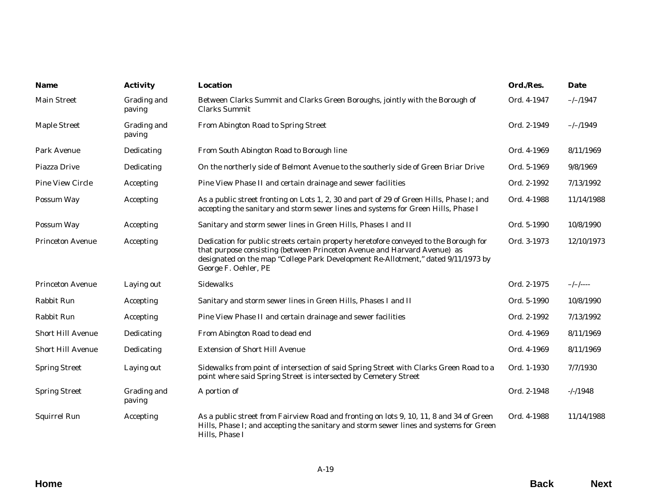| <b>Name</b>              | <b>Activity</b>       | <b>Location</b>                                                                                                                                                                                                                                                                | Ord./Res.   | Date        |
|--------------------------|-----------------------|--------------------------------------------------------------------------------------------------------------------------------------------------------------------------------------------------------------------------------------------------------------------------------|-------------|-------------|
| <b>Main Street</b>       | Grading and<br>paving | Between Clarks Summit and Clarks Green Boroughs, jointly with the Borough of<br>Clarks Summit                                                                                                                                                                                  | Ord. 4-1947 | $-/-/1947$  |
| Maple Street             | Grading and<br>paving | From Abington Road to Spring Street                                                                                                                                                                                                                                            | Ord. 2-1949 | $-/-/1949$  |
| Park Avenue              | Dedicating            | From South Abington Road to Borough line                                                                                                                                                                                                                                       | Ord. 4-1969 | 8/11/1969   |
| Piazza Drive             | Dedicating            | On the northerly side of Belmont Avenue to the southerly side of Green Briar Drive                                                                                                                                                                                             | Ord. 5-1969 | 9/8/1969    |
| Pine View Circle         | Accepting             | Pine View Phase II and certain drainage and sewer facilities                                                                                                                                                                                                                   | Ord. 2-1992 | 7/13/1992   |
| Possum Way               | Accepting             | As a public street fronting on Lots 1, 2, 30 and part of 29 of Green Hills, Phase I; and<br>accepting the sanitary and storm sewer lines and systems for Green Hills, Phase I                                                                                                  | Ord. 4-1988 | 11/14/1988  |
| Possum Way               | Accepting             | Sanitary and storm sewer lines in Green Hills, Phases I and II                                                                                                                                                                                                                 | Ord. 5-1990 | 10/8/1990   |
| <b>Princeton Avenue</b>  | Accepting             | Dedication for public streets certain property heretofore conveyed to the Borough for<br>that purpose consisting (between Princeton Avenue and Harvard Avenue) as<br>designated on the map "College Park Development Re-Allotment," dated 9/11/1973 by<br>George F. Oehler, PE | Ord. 3-1973 | 12/10/1973  |
| <b>Princeton Avenue</b>  | Laying out            | <b>Sidewalks</b>                                                                                                                                                                                                                                                               | Ord. 2-1975 | $-/-/- - -$ |
| Rabbit Run               | Accepting             | Sanitary and storm sewer lines in Green Hills, Phases I and II                                                                                                                                                                                                                 | Ord. 5-1990 | 10/8/1990   |
| Rabbit Run               | Accepting             | Pine View Phase II and certain drainage and sewer facilities                                                                                                                                                                                                                   | Ord. 2-1992 | 7/13/1992   |
| Short Hill Avenue        | Dedicating            | From Abington Road to dead end                                                                                                                                                                                                                                                 | Ord. 4-1969 | 8/11/1969   |
| <b>Short Hill Avenue</b> | Dedicating            | <b>Extension of Short Hill Avenue</b>                                                                                                                                                                                                                                          | Ord. 4-1969 | 8/11/1969   |
| <b>Spring Street</b>     | Laying out            | Sidewalks from point of intersection of said Spring Street with Clarks Green Road to a<br>point where said Spring Street is intersected by Cemetery Street                                                                                                                     | Ord. 1-1930 | 7/7/1930    |
| <b>Spring Street</b>     | Grading and<br>paving | A portion of                                                                                                                                                                                                                                                                   | Ord. 2-1948 | $-/-/1948$  |
| Squirrel Run             | Accepting             | As a public street from Fairview Road and fronting on lots 9, 10, 11, 8 and 34 of Green<br>Hills, Phase I; and accepting the sanitary and storm sewer lines and systems for Green<br>Hills, Phase I                                                                            | Ord. 4-1988 | 11/14/1988  |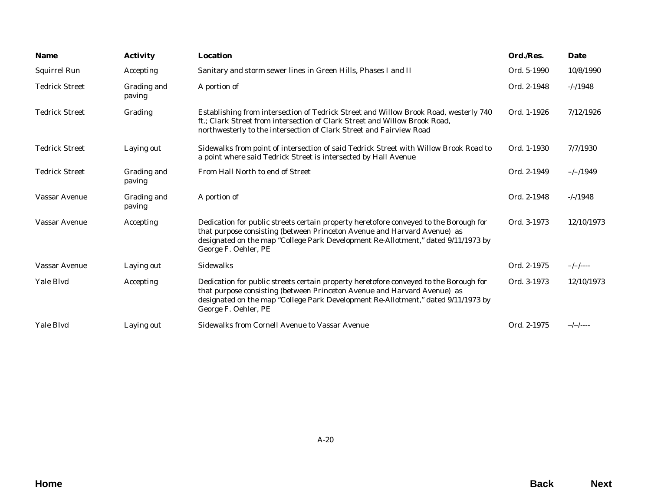| <b>Name</b>           | <b>Activity</b>       | <b>Location</b>                                                                                                                                                                                                                                                                | Ord./Res.   | Date       |
|-----------------------|-----------------------|--------------------------------------------------------------------------------------------------------------------------------------------------------------------------------------------------------------------------------------------------------------------------------|-------------|------------|
| Squirrel Run          | Accepting             | Sanitary and storm sewer lines in Green Hills, Phases I and II                                                                                                                                                                                                                 | Ord. 5-1990 | 10/8/1990  |
| <b>Tedrick Street</b> | Grading and<br>paving | A portion of                                                                                                                                                                                                                                                                   | Ord. 2-1948 | $-/-/1948$ |
| <b>Tedrick Street</b> | Grading               | Establishing from intersection of Tedrick Street and Willow Brook Road, westerly 740<br>ft.; Clark Street from intersection of Clark Street and Willow Brook Road,<br>northwesterly to the intersection of Clark Street and Fairview Road                                      | Ord. 1-1926 | 7/12/1926  |
| <b>Tedrick Street</b> | Laying out            | Sidewalks from point of intersection of said Tedrick Street with Willow Brook Road to<br>a point where said Tedrick Street is intersected by Hall Avenue                                                                                                                       | Ord. 1-1930 | 7/7/1930   |
| <b>Tedrick Street</b> | Grading and<br>paving | From Hall North to end of Street                                                                                                                                                                                                                                               | Ord. 2-1949 | $-/-/1949$ |
| <b>Vassar Avenue</b>  | Grading and<br>paving | A portion of                                                                                                                                                                                                                                                                   | Ord. 2-1948 | $-/-/1948$ |
| Vassar Avenue         | Accepting             | Dedication for public streets certain property heretofore conveyed to the Borough for<br>that purpose consisting (between Princeton Avenue and Harvard Avenue) as<br>designated on the map "College Park Development Re-Allotment," dated 9/11/1973 by<br>George F. Oehler, PE | Ord. 3-1973 | 12/10/1973 |
| Vassar Avenue         | Laying out            | <b>Sidewalks</b>                                                                                                                                                                                                                                                               | Ord. 2-1975 | $-/-/----$ |
| Yale Blvd             | Accepting             | Dedication for public streets certain property heretofore conveyed to the Borough for<br>that purpose consisting (between Princeton Avenue and Harvard Avenue) as<br>designated on the map "College Park Development Re-Allotment," dated 9/11/1973 by<br>George F. Oehler, PE | Ord. 3-1973 | 12/10/1973 |
| Yale Blvd             | Laying out            | Sidewalks from Cornell Avenue to Vassar Avenue                                                                                                                                                                                                                                 | Ord. 2-1975 | $-/-/----$ |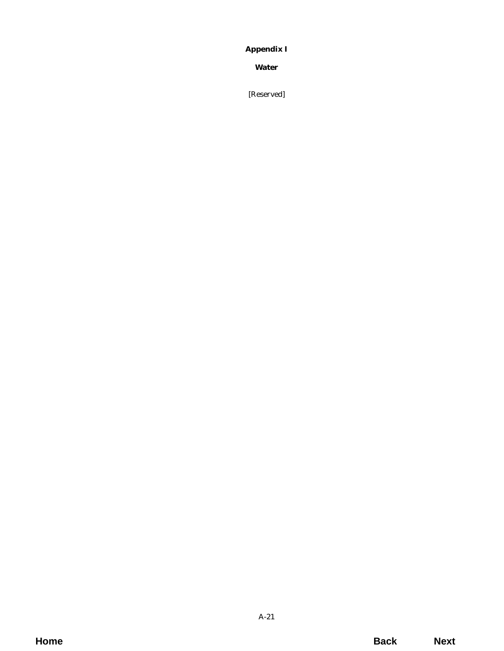# <span id="page-20-0"></span>**Appendix I**

**Water**

[Reserved]